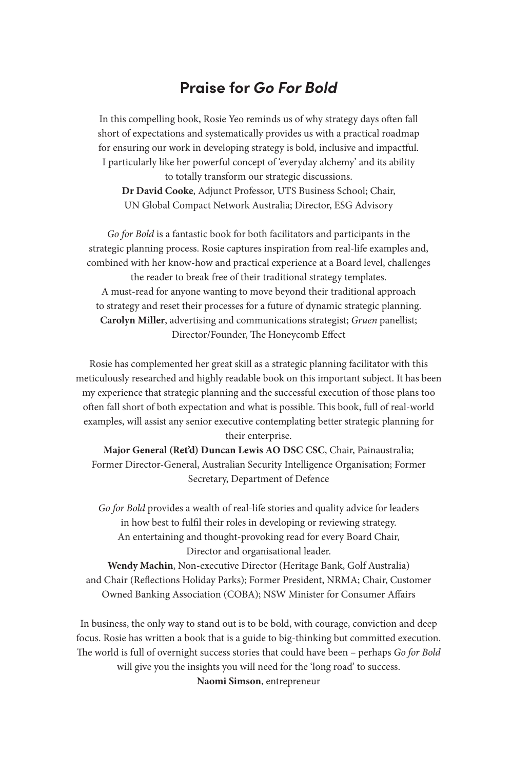## **Praise for** *Go For Bold*

In this compelling book, Rosie Yeo reminds us of why strategy days often fall short of expectations and systematically provides us with a practical roadmap for ensuring our work in developing strategy is bold, inclusive and impactful. I particularly like her powerful concept of 'everyday alchemy' and its ability

to totally transform our strategic discussions. **Dr David Cooke**, Adjunct Professor, UTS Business School; Chair, UN Global Compact Network Australia; Director, ESG Advisory

*Go for Bold* is a fantastic book for both facilitators and participants in the strategic planning process. Rosie captures inspiration from real-life examples and, combined with her know-how and practical experience at a Board level, challenges the reader to break free of their traditional strategy templates. A must-read for anyone wanting to move beyond their traditional approach to strategy and reset their processes for a future of dynamic strategic planning. **Carolyn Miller**, advertising and communications strategist; *Gruen* panellist; Director/Founder, The Honeycomb Effect

Rosie has complemented her great skill as a strategic planning facilitator with this meticulously researched and highly readable book on this important subject. It has been my experience that strategic planning and the successful execution of those plans too often fall short of both expectation and what is possible. This book, full of real-world examples, will assist any senior executive contemplating better strategic planning for their enterprise.

**Major General (Ret'd) Duncan Lewis AO DSC CSC**, Chair, Painaustralia; Former Director-General, Australian Security Intelligence Organisation; Former Secretary, Department of Defence

*Go for Bold* provides a wealth of real-life stories and quality advice for leaders in how best to fulfil their roles in developing or reviewing strategy. An entertaining and thought-provoking read for every Board Chair, Director and organisational leader.

**Wendy Machin**, Non-executive Director (Heritage Bank, Golf Australia) and Chair (Reflections Holiday Parks); Former President, NRMA; Chair, Customer Owned Banking Association (COBA); NSW Minister for Consumer Affairs

In business, the only way to stand out is to be bold, with courage, conviction and deep focus. Rosie has written a book that is a guide to big-thinking but committed execution. The world is full of overnight success stories that could have been - perhaps *Go for Bold* will give you the insights you will need for the 'long road' to success. **Naomi Simson**, entrepreneur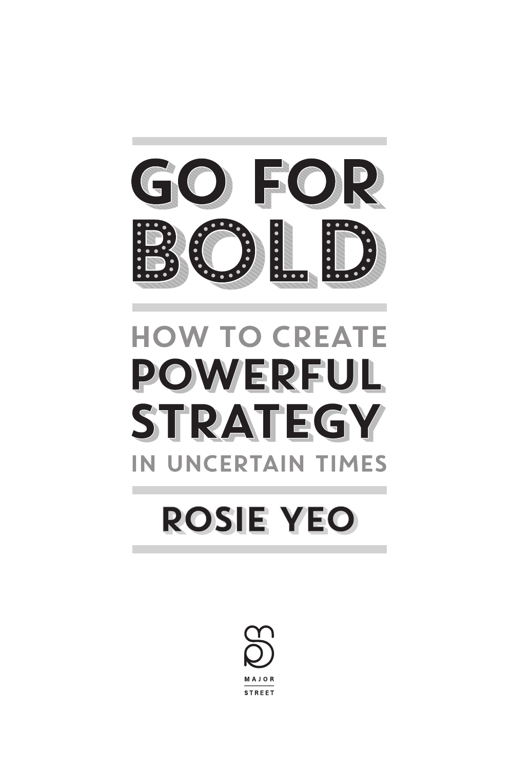

# **HOW TO CREATE POWERFUL STRATEGY** IN UNCERTAIN TIMES

# **ROSIE YEO**

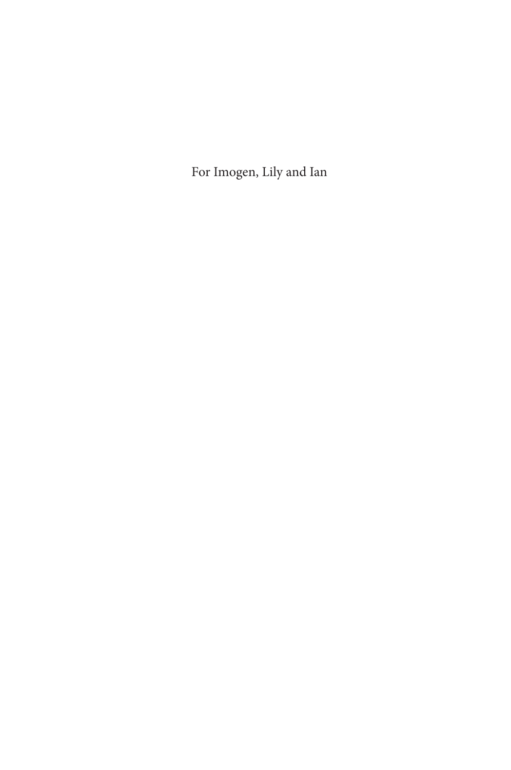For Imogen, Lily and Ian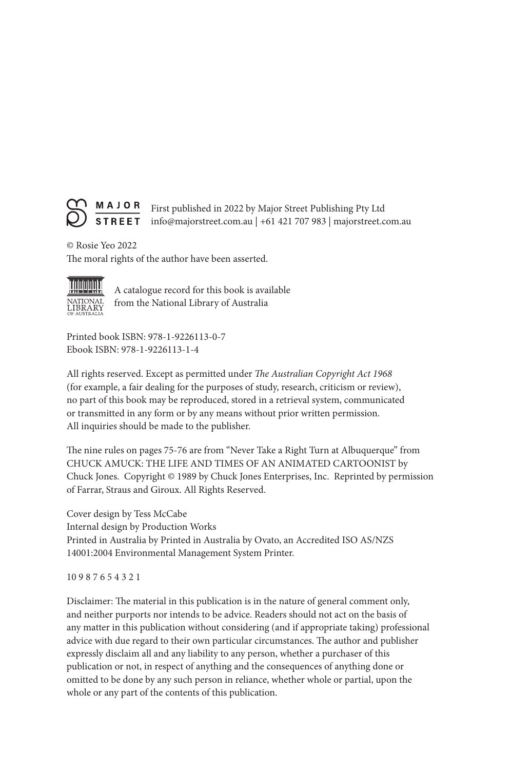

© Rosie Yeo 2022 The moral rights of the author have been asserted.



A catalogue record for this book is available from the National Library of Australia

Printed book ISBN: 978-1-9226113-0-7 Ebook ISBN: 978-1-9226113-1-4

All rights reserved. Except as permitted under *The Australian Copyright Act 1968* (for example, a fair dealing for the purposes of study, research, criticism or review), no part of this book may be reproduced, stored in a retrieval system, communicated or transmitted in any form or by any means without prior written permission. All inquiries should be made to the publisher.

The nine rules on pages 75-76 are from "Never Take a Right Turn at Albuquerque" from CHUCK AMUCK: THE LIFE AND TIMES OF AN ANIMATED CARTOONIST by Chuck Jones. Copyright © 1989 by Chuck Jones Enterprises, Inc. Reprinted by permission of Farrar, Straus and Giroux. All Rights Reserved.

Cover design by Tess McCabe Internal design by Production Works Printed in Australia by Printed in Australia by Ovato, an Accredited ISO AS/NZS 14001:2004 Environmental Management System Printer.

10 9 8 7 6 5 4 3 2 1

Disclaimer: The material in this publication is in the nature of general comment only, and neither purports nor intends to be advice. Readers should not act on the basis of any matter in this publication without considering (and if appropriate taking) professional advice with due regard to their own particular circumstances. The author and publisher expressly disclaim all and any liability to any person, whether a purchaser of this publication or not, in respect of anything and the consequences of anything done or omitted to be done by any such person in reliance, whether whole or partial, upon the whole or any part of the contents of this publication.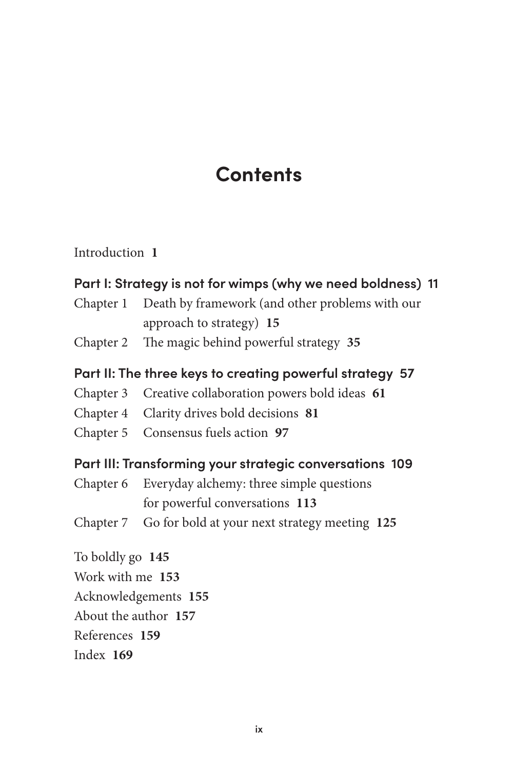# **Contents**

Introduction **1**

### **Part I: Strategy is not for wimps (why we need boldness) 11**

- Chapter 1 Death by framework (and other problems with our approach to strategy) **15**
- Chapter 2 The magic behind powerful strategy 35

#### **Part II: The three keys to creating powerful strategy 57**

- Chapter 3 Creative collaboration powers bold ideas **61**
- Chapter 4 Clarity drives bold decisions **81**
- Chapter 5 Consensus fuels action **97**

#### **Part III: Transforming your strategic conversations 109**

- Chapter 6 Everyday alchemy: three simple questions for powerful conversations **113**
- Chapter 7 Go for bold at your next strategy meeting **125**

To boldly go **145** Work with me **153** Acknowledgements **155** About the author **157** References **159** Index **169**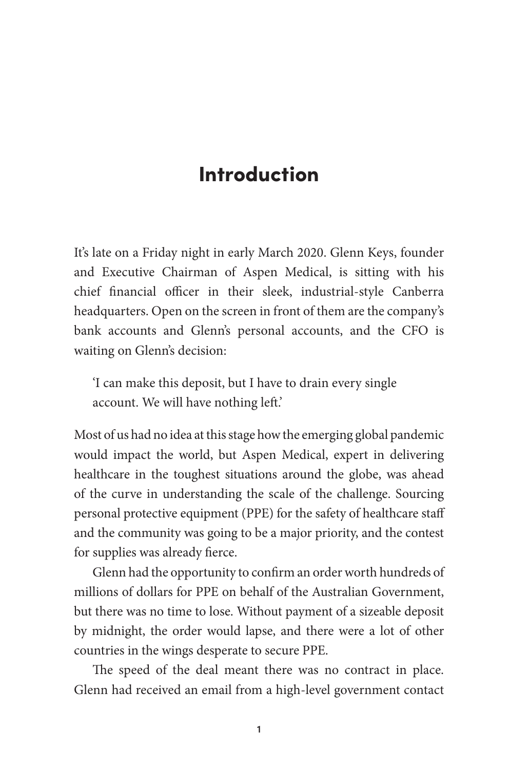# Introduction

It's late on a Friday night in early March 2020. Glenn Keys, founder and Executive Chairman of Aspen Medical, is sitting with his chief financial officer in their sleek, industrial-style Canberra headquarters. Open on the screen in front of them are the company's bank accounts and Glenn's personal accounts, and the CFO is waiting on Glenn's decision:

'I can make this deposit, but I have to drain every single account. We will have nothing left.'

Most of us had no idea at this stage how the emerging global pandemic would impact the world, but Aspen Medical, expert in delivering healthcare in the toughest situations around the globe, was ahead of the curve in understanding the scale of the challenge. Sourcing personal protective equipment (PPE) for the safety of healthcare staff and the community was going to be a major priority, and the contest for supplies was already fierce.

Glenn had the opportunity to confirm an order worth hundreds of millions of dollars for PPE on behalf of the Australian Government, but there was no time to lose. Without payment of a sizeable deposit by midnight, the order would lapse, and there were a lot of other countries in the wings desperate to secure PPE.

The speed of the deal meant there was no contract in place. Glenn had received an email from a high-level government contact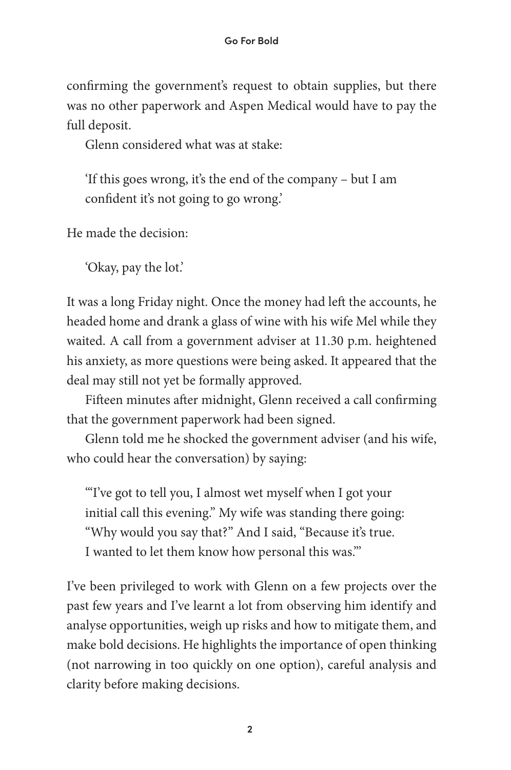confirming the government's request to obtain supplies, but there was no other paperwork and Aspen Medical would have to pay the full deposit.

Glenn considered what was at stake:

'If this goes wrong, it's the end of the company – but I am confident it's not going to go wrong.'

He made the decision:

'Okay, pay the lot.'

It was a long Friday night. Once the money had left the accounts, he headed home and drank a glass of wine with his wife Mel while they waited. A call from a government adviser at 11.30 p.m. heightened his anxiety, as more questions were being asked. It appeared that the deal may still not yet be formally approved.

Fifteen minutes after midnight, Glenn received a call confirming that the government paperwork had been signed.

Glenn told me he shocked the government adviser (and his wife, who could hear the conversation) by saying:

'"I've got to tell you, I almost wet myself when I got your initial call this evening." My wife was standing there going: "Why would you say that?" And I said, "Because it's true. I wanted to let them know how personal this was."'

I've been privileged to work with Glenn on a few projects over the past few years and I've learnt a lot from observing him identify and analyse opportunities, weigh up risks and how to mitigate them, and make bold decisions. He highlights the importance of open thinking (not narrowing in too quickly on one option), careful analysis and clarity before making decisions.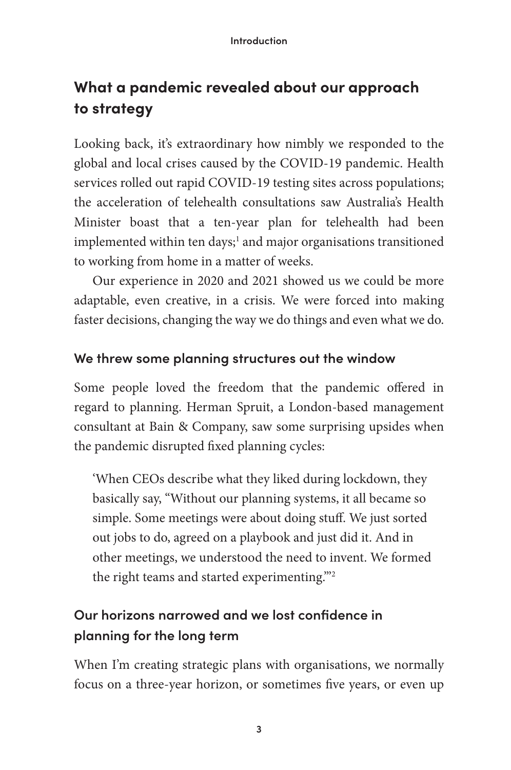# **What a pandemic revealed about our approach to strategy**

Looking back, it's extraordinary how nimbly we responded to the global and local crises caused by the COVID-19 pandemic. Health services rolled out rapid COVID-19 testing sites across populations; the acceleration of telehealth consultations saw Australia's Health Minister boast that a ten-year plan for telehealth had been implemented within ten days;<sup>1</sup> and major organisations transitioned to working from home in a matter of weeks.

Our experience in 2020 and 2021 showed us we could be more adaptable, even creative, in a crisis. We were forced into making faster decisions, changing the way we do things and even what we do.

### **We threw some planning structures out the window**

Some people loved the freedom that the pandemic offered in regard to planning. Herman Spruit, a London-based management consultant at Bain & Company, saw some surprising upsides when the pandemic disrupted fixed planning cycles:

'When CEOs describe what they liked during lockdown, they basically say, "Without our planning systems, it all became so simple. Some meetings were about doing stuff. We just sorted out jobs to do, agreed on a playbook and just did it. And in other meetings, we understood the need to invent. We formed the right teams and started experimenting.'''2

## **Our horizons narrowed and we lost confidence in planning for the long term**

When I'm creating strategic plans with organisations, we normally focus on a three-year horizon, or sometimes five years, or even up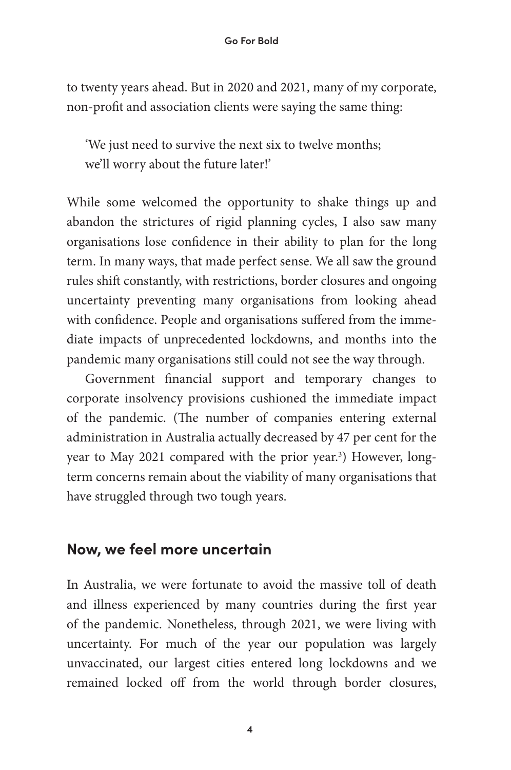to twenty years ahead. But in 2020 and 2021, many of my corporate, non-profit and association clients were saying the same thing:

'We just need to survive the next six to twelve months; we'll worry about the future later!'

While some welcomed the opportunity to shake things up and abandon the strictures of rigid planning cycles, I also saw many organisations lose confidence in their ability to plan for the long term. In many ways, that made perfect sense. We all saw the ground rules shift constantly, with restrictions, border closures and ongoing uncertainty preventing many organisations from looking ahead with confidence. People and organisations suffered from the immediate impacts of unprecedented lockdowns, and months into the pandemic many organisations still could not see the way through.

Government financial support and temporary changes to corporate insolvency provisions cushioned the immediate impact of the pandemic. (The number of companies entering external administration in Australia actually decreased by 47 per cent for the year to May 2021 compared with the prior year.<sup>3</sup>) However, longterm concerns remain about the viability of many organisations that have struggled through two tough years.

## **Now, we feel more uncertain**

In Australia, we were fortunate to avoid the massive toll of death and illness experienced by many countries during the first year of the pandemic. Nonetheless, through 2021, we were living with uncertainty. For much of the year our population was largely unvaccinated, our largest cities entered long lockdowns and we remained locked off from the world through border closures,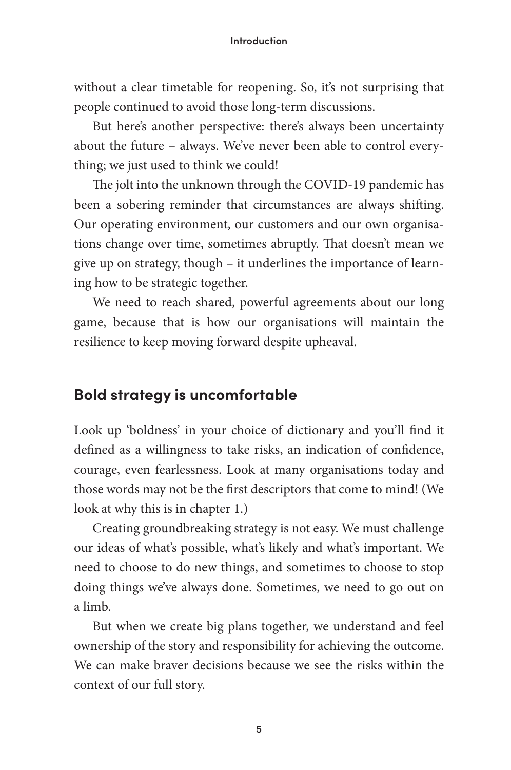without a clear timetable for reopening. So, it's not surprising that people continued to avoid those long-term discussions.

But here's another perspective: there's always been uncertainty about the future – always. We've never been able to control everything; we just used to think we could!

The jolt into the unknown through the COVID-19 pandemic has been a sobering reminder that circumstances are always shifting. Our operating environment, our customers and our own organisations change over time, sometimes abruptly. That doesn't mean we give up on strategy, though – it underlines the importance of learning how to be strategic together.

We need to reach shared, powerful agreements about our long game, because that is how our organisations will maintain the resilience to keep moving forward despite upheaval.

## **Bold strategy is uncomfortable**

Look up 'boldness' in your choice of dictionary and you'll find it defined as a willingness to take risks, an indication of confidence, courage, even fearlessness. Look at many organisations today and those words may not be the first descriptors that come to mind! (We look at why this is in chapter 1.)

Creating groundbreaking strategy is not easy. We must challenge our ideas of what's possible, what's likely and what's important. We need to choose to do new things, and sometimes to choose to stop doing things we've always done. Sometimes, we need to go out on a limb.

But when we create big plans together, we understand and feel ownership of the story and responsibility for achieving the outcome. We can make braver decisions because we see the risks within the context of our full story.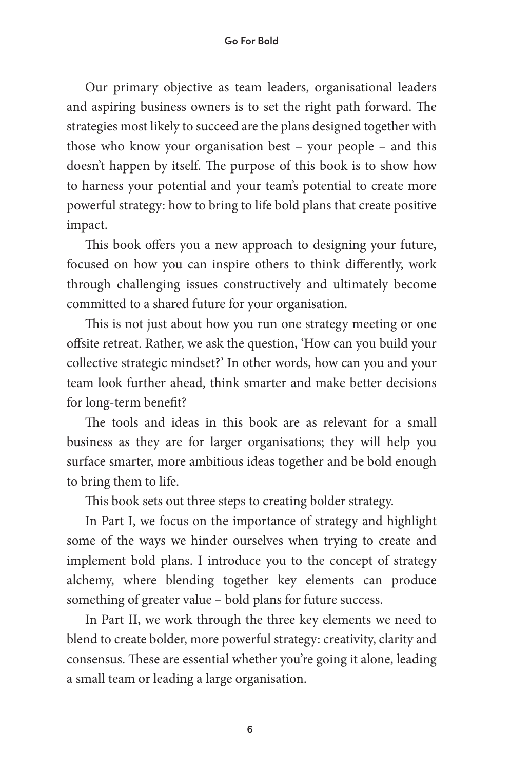Our primary objective as team leaders, organisational leaders and aspiring business owners is to set the right path forward. The strategies most likely to succeed are the plans designed together with those who know your organisation best – your people – and this doesn't happen by itself. The purpose of this book is to show how to harness your potential and your team's potential to create more powerful strategy: how to bring to life bold plans that create positive impact.

This book offers you a new approach to designing your future, focused on how you can inspire others to think differently, work through challenging issues constructively and ultimately become committed to a shared future for your organisation.

This is not just about how you run one strategy meeting or one offsite retreat. Rather, we ask the question, 'How can you build your collective strategic mindset?' In other words, how can you and your team look further ahead, think smarter and make better decisions for long-term benefit?

The tools and ideas in this book are as relevant for a small business as they are for larger organisations; they will help you surface smarter, more ambitious ideas together and be bold enough to bring them to life.

This book sets out three steps to creating bolder strategy.

In Part I, we focus on the importance of strategy and highlight some of the ways we hinder ourselves when trying to create and implement bold plans. I introduce you to the concept of strategy alchemy, where blending together key elements can produce something of greater value – bold plans for future success.

In Part II, we work through the three key elements we need to blend to create bolder, more powerful strategy: creativity, clarity and consensus. These are essential whether you're going it alone, leading a small team or leading a large organisation.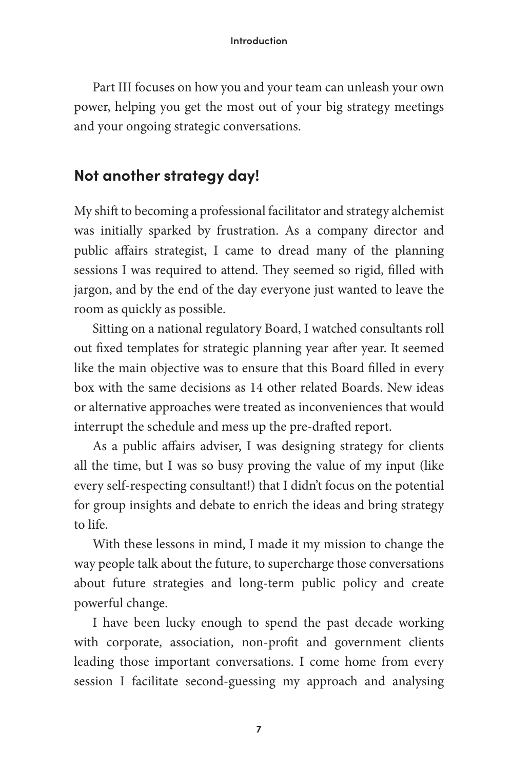Part III focuses on how you and your team can unleash your own power, helping you get the most out of your big strategy meetings and your ongoing strategic conversations.

## **Not another strategy day!**

My shift to becoming a professional facilitator and strategy alchemist was initially sparked by frustration. As a company director and public affairs strategist, I came to dread many of the planning sessions I was required to attend. They seemed so rigid, filled with jargon, and by the end of the day everyone just wanted to leave the room as quickly as possible.

Sitting on a national regulatory Board, I watched consultants roll out fixed templates for strategic planning year after year. It seemed like the main objective was to ensure that this Board filled in every box with the same decisions as 14 other related Boards. New ideas or alternative approaches were treated as inconveniences that would interrupt the schedule and mess up the pre-drafted report.

As a public affairs adviser, I was designing strategy for clients all the time, but I was so busy proving the value of my input (like every self-respecting consultant!) that I didn't focus on the potential for group insights and debate to enrich the ideas and bring strategy to life.

With these lessons in mind, I made it my mission to change the way people talk about the future, to supercharge those conversations about future strategies and long-term public policy and create powerful change.

I have been lucky enough to spend the past decade working with corporate, association, non-profit and government clients leading those important conversations. I come home from every session I facilitate second-guessing my approach and analysing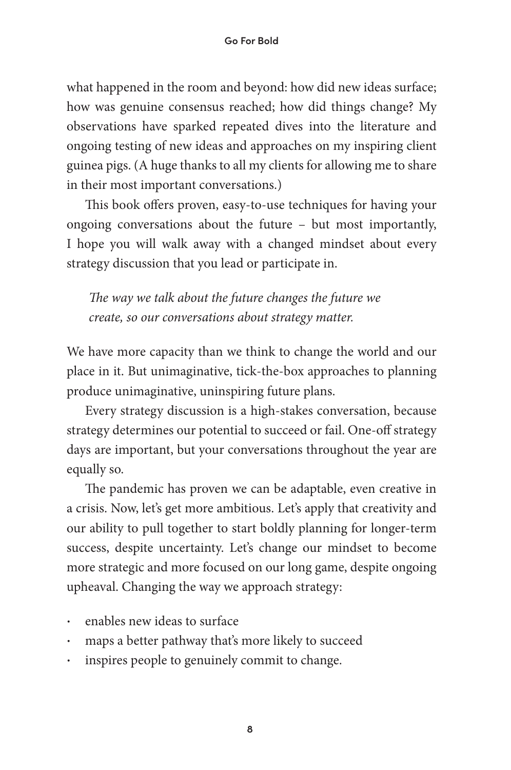what happened in the room and beyond: how did new ideas surface; how was genuine consensus reached; how did things change? My observations have sparked repeated dives into the literature and ongoing testing of new ideas and approaches on my inspiring client guinea pigs. (A huge thanks to all my clients for allowing me to share in their most important conversations.)

This book offers proven, easy-to-use techniques for having your ongoing conversations about the future – but most importantly, I hope you will walk away with a changed mindset about every strategy discussion that you lead or participate in.

!*e way we talk about the future changes the future we create, so our conversations about strategy matter.* 

We have more capacity than we think to change the world and our place in it. But unimaginative, tick-the-box approaches to planning produce unimaginative, uninspiring future plans.

Every strategy discussion is a high-stakes conversation, because strategy determines our potential to succeed or fail. One-off strategy days are important, but your conversations throughout the year are equally so.

The pandemic has proven we can be adaptable, even creative in a crisis. Now, let's get more ambitious. Let's apply that creativity and our ability to pull together to start boldly planning for longer-term success, despite uncertainty. Let's change our mindset to become more strategic and more focused on our long game, despite ongoing upheaval. Changing the way we approach strategy:

- enables new ideas to surface
- maps a better pathway that's more likely to succeed
- inspires people to genuinely commit to change.